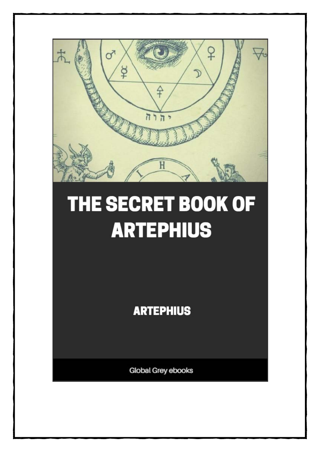

## THE SECRET BOOK OF **ARTEPHIUS**

**ARTEPHIUS** 

Global Grey ebooks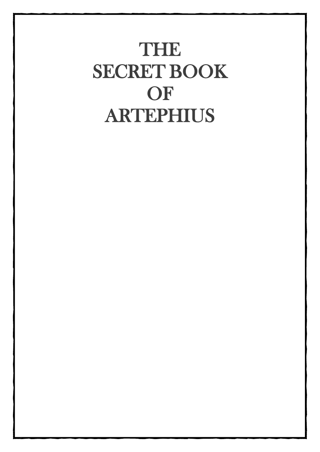## THE SECRET BOOK **OF** ARTEPHIUS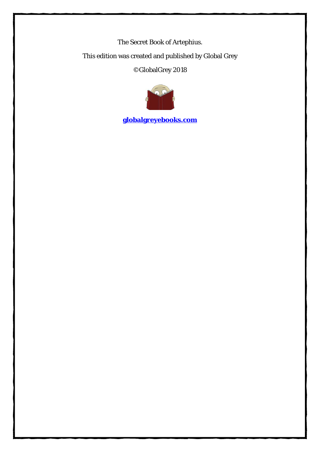The Secret Book of Artephius.

This edition was created and published by Global Grey

©GlobalGrey 2018



**[globalgreyebooks.com](https://www.globalgreyebooks.com/)**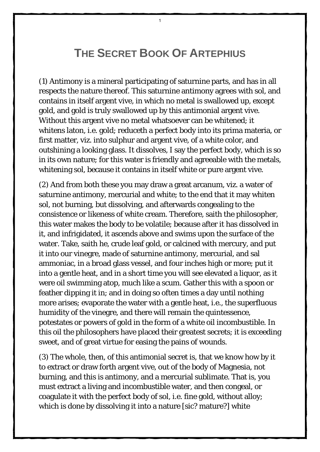## **THE SECRET BOOK OF ARTEPHIUS**

1

(1) Antimony is a mineral participating of saturnine parts, and has in all respects the nature thereof. This saturnine antimony agrees with sol, and contains in itself argent vive, in which no metal is swallowed up, except gold, and gold is truly swallowed up by this antimonial argent vive. Without this argent vive no metal whatsoever can be whitened; it whitens laton, i.e. gold; reduceth a perfect body into its prima materia, or first matter, viz. into sulphur and argent vive, of a white color, and outshining a looking glass. It dissolves, I say the perfect body, which is so in its own nature; for this water is friendly and agreeable with the metals, whitening sol, because it contains in itself white or pure argent vive.

(2) And from both these you may draw a great arcanum, viz. a water of saturnine antimony, mercurial and white; to the end that it may whiten sol, not burning, but dissolving, and afterwards congealing to the consistence or likeness of white cream. Therefore, saith the philosopher, this water makes the body to be volatile; because after it has dissolved in it, and infrigidated, it ascends above and swims upon the surface of the water. Take, saith he, crude leaf gold, or calcined with mercury, and put it into our vinegre, made of saturnine antimony, mercurial, and sal ammoniac, in a broad glass vessel, and four inches high or more; put it into a gentle heat, and in a short time you will see elevated a liquor, as it were oil swimming atop, much like a scum. Gather this with a spoon or feather dipping it in; and in doing so often times a day until nothing more arises; evaporate the water with a gentle heat, i.e., the superfluous humidity of the vinegre, and there will remain the quintessence, potestates or powers of gold in the form of a white oil incombustible. In this oil the philosophers have placed their greatest secrets; it is exceeding sweet, and of great virtue for easing the pains of wounds.

(3) The whole, then, of this antimonial secret is, that we know how by it to extract or draw forth argent vive, out of the body of Magnesia, not burning, and this is antimony, and a mercurial sublimate. That is, you must extract a living and incombustible water, and then congeal, or coagulate it with the perfect body of sol, i.e. fine gold, without alloy; which is done by dissolving it into a nature [sic? mature?] white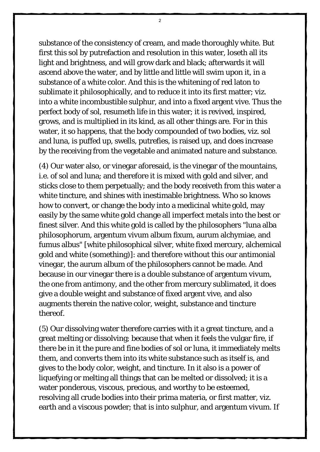substance of the consistency of cream, and made thoroughly white. But first this sol by putrefaction and resolution in this water, loseth all its light and brightness, and will grow dark and black; afterwards it will ascend above the water, and by little and little will swim upon it, in a substance of a white color. And this is the whitening of red laton to sublimate it philosophically, and to reduce it into its first matter; viz. into a white incombustible sulphur, and into a fixed argent vive. Thus the perfect body of sol, resumeth life in this water; it is revived, inspired, grows, and is multiplied in its kind, as all other things are. For in this water, it so happens, that the body compounded of two bodies, viz. sol and luna, is puffed up, swells, putrefies, is raised up, and does increase by the receiving from the vegetable and animated nature and substance.

(4) Our water also, or vinegar aforesaid, is the vinegar of the mountains, i.e. of sol and luna; and therefore it is mixed with gold and silver, and sticks close to them perpetually; and the body receiveth from this water a white tincture, and shines with inestimable brightness. Who so knows how to convert, or change the body into a medicinal white gold, may easily by the same white gold change all imperfect metals into the best or finest silver. And this white gold is called by the philosophers "luna alba philosophorum, argentum vivum album fixum, aurum alchymiae, and fumus albus" [white philosophical silver, white fixed mercury, alchemical gold and white (something)]: and therefore without this our antimonial vinegar, the aurum album of the philosophers cannot be made. And because in our vinegar there is a double substance of argentum vivum, the one from antimony, and the other from mercury sublimated, it does give a double weight and substance of fixed argent vive, and also augments therein the native color, weight, substance and tincture thereof.

(5) Our dissolving water therefore carries with it a great tincture, and a great melting or dissolving; because that when it feels the vulgar fire, if there be in it the pure and fine bodies of sol or luna, it immediately melts them, and converts them into its white substance such as itself is, and gives to the body color, weight, and tincture. In it also is a power of liquefying or melting all things that can be melted or dissolved; it is a water ponderous, viscous, precious, and worthy to be esteemed, resolving all crude bodies into their prima materia, or first matter, viz. earth and a viscous powder; that is into sulphur, and argentum vivum. If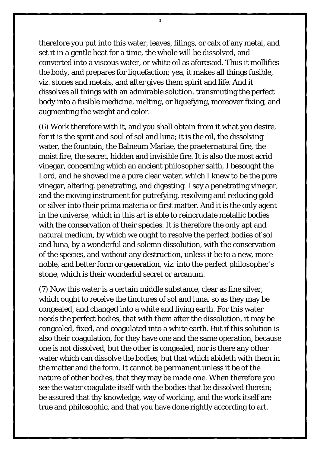therefore you put into this water, leaves, filings, or calx of any metal, and set it in a gentle heat for a time, the whole will be dissolved, and converted into a viscous water, or white oil as aforesaid. Thus it mollifies the body, and prepares for liquefaction; yea, it makes all things fusible, viz. stones and metals, and after gives them spirit and life. And it dissolves all things with an admirable solution, transmuting the perfect body into a fusible medicine, melting, or liquefying, moreover fixing, and augmenting the weight and color.

(6) Work therefore with it, and you shall obtain from it what you desire, for it is the spirit and soul of sol and luna; it is the oil, the dissolving water, the fountain, the Balneum Mariae, the praeternatural fire, the moist fire, the secret, hidden and invisible fire. It is also the most acrid vinegar, concerning which an ancient philosopher saith, I besought the Lord, and he showed me a pure clear water, which I knew to be the pure vinegar, altering, penetrating, and digesting. I say a penetrating vinegar, and the moving instrument for putrefying, resolving and reducing gold or silver into their prima materia or first matter. And it is the only agent in the universe, which in this art is able to reincrudate metallic bodies with the conservation of their species. It is therefore the only apt and natural medium, by which we ought to resolve the perfect bodies of sol and luna, by a wonderful and solemn dissolution, with the conservation of the species, and without any destruction, unless it be to a new, more noble, and better form or generation, viz. into the perfect philosopher's stone, which is their wonderful secret or arcanum.

(7) Now this water is a certain middle substance, clear as fine silver, which ought to receive the tinctures of sol and luna, so as they may be congealed, and changed into a white and living earth. For this water needs the perfect bodies, that with them after the dissolution, it may be congealed, fixed, and coagulated into a white earth. But if this solution is also their coagulation, for they have one and the same operation, because one is not dissolved, but the other is congealed, nor is there any other water which can dissolve the bodies, but that which abideth with them in the matter and the form. It cannot be permanent unless it be of the nature of other bodies, that they may be made one. When therefore you see the water coagulate itself with the bodies that be dissolved therein; be assured that thy knowledge, way of working, and the work itself are true and philosophic, and that you have done rightly according to art.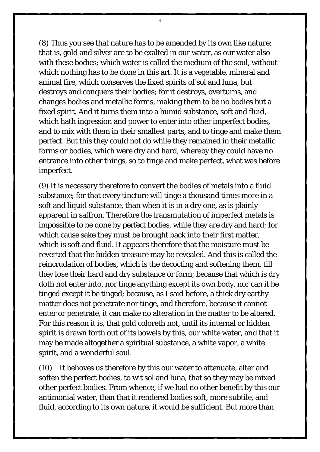(8) Thus you see that nature has to be amended by its own like nature; that is, gold and silver are to be exalted in our water, as our water also with these bodies; which water is called the medium of the soul, without which nothing has to be done in this art. It is a vegetable, mineral and animal fire, which conserves the fixed spirits of sol and luna, but destroys and conquers their bodies; for it destroys, overturns, and changes bodies and metallic forms, making them to be no bodies but a fixed spirit. And it turns them into a humid substance, soft and fluid, which hath ingression and power to enter into other imperfect bodies, and to mix with them in their smallest parts, and to tinge and make them perfect. But this they could not do while they remained in their metallic forms or bodies, which were dry and hard, whereby they could have no entrance into other things, so to tinge and make perfect, what was before imperfect.

(9) It is necessary therefore to convert the bodies of metals into a fluid substance; for that every tincture will tinge a thousand times more in a soft and liquid substance, than when it is in a dry one, as is plainly apparent in saffron. Therefore the transmutation of imperfect metals is impossible to be done by perfect bodies, while they are dry and hard; for which cause sake they must be brought back into their first matter, which is soft and fluid. It appears therefore that the moisture must be reverted that the hidden treasure may be revealed. And this is called the reincrudation of bodies, which is the decocting and softening them, till they lose their hard and dry substance or form; because that which is dry doth not enter into, nor tinge anything except its own body, nor can it be tinged except it be tinged; because, as I said before, a thick dry earthy matter does not penetrate nor tinge, and therefore, because it cannot enter or penetrate, it can make no alteration in the matter to be altered. For this reason it is, that gold coloreth not, until its internal or hidden spirit is drawn forth out of its bowels by this, our white water, and that it may be made altogether a spiritual substance, a white vapor, a white spirit, and a wonderful soul.

(10) It behoves us therefore by this our water to attenuate, alter and soften the perfect bodies, to wit sol and luna, that so they may be mixed other perfect bodies. From whence, if we had no other benefit by this our antimonial water, than that it rendered bodies soft, more subtile, and fluid, according to its own nature, it would be sufficient. But more than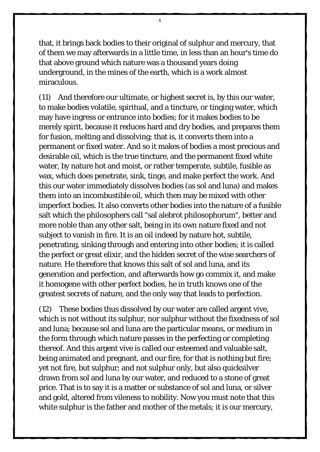that, it brings back bodies to their original of sulphur and mercury, that of them we may afterwards in a little time, in less than an hour's time do that above ground which nature was a thousand years doing underground, in the mines of the earth, which is a work almost miraculous.

(11) And therefore our ultimate, or highest secret is, by this our water, to make bodies volatile, spiritual, and a tincture, or tinging water, which may have ingress or entrance into bodies; for it makes bodies to be merely spirit, because it reduces hard and dry bodies, and prepares them for fusion, melting and dissolving; that is, it converts them into a permanent or fixed water. And so it makes of bodies a most precious and desirable oil, which is the true tincture, and the permanent fixed white water, by nature hot and moist, or rather temperate, subtile, fusible as wax, which does penetrate, sink, tinge, and make perfect the work. And this our water immediately dissolves bodies (as sol and luna) and makes them into an incombustible oil, which then may be mixed with other imperfect bodies. It also converts other bodies into the nature of a fusible salt which the philosophers call "sal alebrot philosophorum", better and more noble than any other salt, being in its own nature fixed and not subject to vanish in fire. It is an oil indeed by nature hot, subtile, penetrating, sinking through and entering into other bodies; it is called the perfect or great elixir, and the hidden secret of the wise searchers of nature. He therefore that knows this salt of sol and luna, and its generation and perfection, and afterwards how go commix it, and make it homogene with other perfect bodies, he in truth knows one of the greatest secrets of nature, and the only way that leads to perfection.

(12) These bodies thus dissolved by our water are called argent vive, which is not without its sulphur, nor sulphur without the fixedness of sol and luna; because sol and luna are the particular means, or medium in the form through which nature passes in the perfecting or completing thereof. And this argent vive is called our esteemed and valuable salt, being animated and pregnant, and our fire, for that is nothing but fire; yet not fire, but sulphur; and not sulphur only, but also quicksilver drawn from sol and luna by our water, and reduced to a stone of great price. That is to say it is a matter or substance of sol and luna, or silver and gold, altered from vileness to nobility. Now you must note that this white sulphur is the father and mother of the metals; it is our mercury,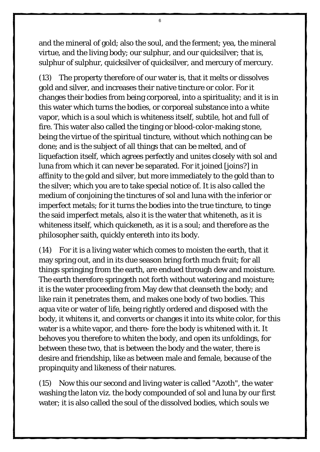and the mineral of gold; also the soul, and the ferment; yea, the mineral virtue, and the living body; our sulphur, and our quicksilver; that is, sulphur of sulphur, quicksilver of quicksilver, and mercury of mercury.

(13) The property therefore of our water is, that it melts or dissolves gold and silver, and increases their native tincture or color. For it changes their bodies from being corporeal, into a spirituality; and it is in this water which turns the bodies, or corporeal substance into a white vapor, which is a soul which is whiteness itself, subtile, hot and full of fire. This water also called the tinging or blood-color-making stone, being the virtue of the spiritual tincture, without which nothing can be done; and is the subject of all things that can be melted, and of liquefaction itself, which agrees perfectly and unites closely with sol and luna from which it can never be separated. For it joined [joins?] in affinity to the gold and silver, but more immediately to the gold than to the silver; which you are to take special notice of. It is also called the medium of conjoining the tinctures of sol and luna with the inferior or imperfect metals; for it turns the bodies into the true tincture, to tinge the said imperfect metals, also it is the water that whiteneth, as it is whiteness itself, which quickeneth, as it is a soul; and therefore as the philosopher saith, quickly entereth into its body.

(14) For it is a living water which comes to moisten the earth, that it may spring out, and in its due season bring forth much fruit; for all things springing from the earth, are endued through dew and moisture. The earth therefore springeth not forth without watering and moisture; it is the water proceeding from May dew that cleanseth the body; and like rain it penetrates them, and makes one body of two bodies. This aqua vite or water of life, being rightly ordered and disposed with the body, it whitens it, and converts or changes it into its white color, for this water is a white vapor, and there- fore the body is whitened with it. It behoves you therefore to whiten the body, and open its unfoldings, for between these two, that is between the body and the water, there is desire and friendship, like as between male and female, because of the propinquity and likeness of their natures.

(15) Now this our second and living water is called "Azoth", the water washing the laton viz. the body compounded of sol and luna by our first water; it is also called the soul of the dissolved bodies, which souls we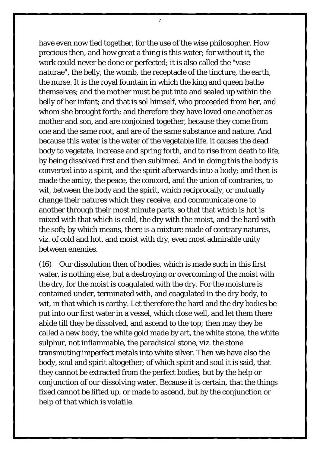have even now tied together, for the use of the wise philosopher. How precious then, and how great a thing is this water; for without it, the work could never be done or perfected; it is also called the "vase naturae", the belly, the womb, the receptacle of the tincture, the earth, the nurse. It is the royal fountain in which the king and queen bathe themselves; and the mother must be put into and sealed up within the belly of her infant; and that is sol himself, who proceeded from her, and whom she brought forth; and therefore they have loved one another as mother and son, and are conjoined together, because they come from one and the same root, and are of the same substance and nature. And because this water is the water of the vegetable life, it causes the dead body to vegetate, increase and spring forth, and to rise from death to life, by being dissolved first and then sublimed. And in doing this the body is converted into a spirit, and the spirit afterwards into a body; and then is made the amity, the peace, the concord, and the union of contraries, to wit, between the body and the spirit, which reciprocally, or mutually change their natures which they receive, and communicate one to another through their most minute parts, so that that which is hot is mixed with that which is cold, the dry with the moist, and the hard with the soft; by which means, there is a mixture made of contrary natures, viz. of cold and hot, and moist with dry, even most admirable unity between enemies.

7

(16) Our dissolution then of bodies, which is made such in this first water, is nothing else, but a destroying or overcoming of the moist with the dry, for the moist is coagulated with the dry. For the moisture is contained under, terminated with, and coagulated in the dry body, to wit, in that which is earthy. Let therefore the hard and the dry bodies be put into our first water in a vessel, which close well, and let them there abide till they be dissolved, and ascend to the top; then may they be called a new body, the white gold made by art, the white stone, the white sulphur, not inflammable, the paradisical stone, viz. the stone transmuting imperfect metals into white silver. Then we have also the body, soul and spirit altogether; of which spirit and soul it is said, that they cannot be extracted from the perfect bodies, but by the help or conjunction of our dissolving water. Because it is certain, that the things fixed cannot be lifted up, or made to ascend, but by the conjunction or help of that which is volatile.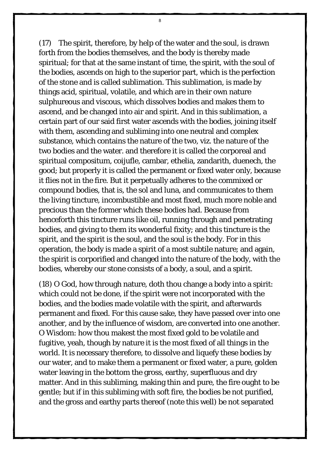(17) The spirit, therefore, by help of the water and the soul, is drawn forth from the bodies themselves, and the body is thereby made spiritual; for that at the same instant of time, the spirit, with the soul of the bodies, ascends on high to the superior part, which is the perfection of the stone and is called sublimation. This sublimation, is made by things acid, spiritual, volatile, and which are in their own nature sulphureous and viscous, which dissolves bodies and makes them to ascend, and be changed into air and spirit. And in this sublimation, a certain part of our said first water ascends with the bodies, joining itself with them, ascending and subliming into one neutral and complex substance, which contains the nature of the two, viz. the nature of the two bodies and the water. and therefore it is called the corporeal and spiritual compositum, coijufle, cambar, ethelia, zandarith, duenech, the good; but properly it is called the permanent or fixed water only, because it flies not in the fire. But it perpetually adheres to the commixed or compound bodies, that is, the sol and luna, and communicates to them the living tincture, incombustible and most fixed, much more noble and precious than the former which these bodies had. Because from henceforth this tincture runs like oil, running through and penetrating bodies, and giving to them its wonderful fixity; and this tincture is the spirit, and the spirit is the soul, and the soul is the body. For in this operation, the body is made a spirit of a most subtile nature; and again, the spirit is corporified and changed into the nature of the body, with the bodies, whereby our stone consists of a body, a soul, and a spirit.

(18) O God, how through nature, doth thou change a body into a spirit: which could not be done, if the spirit were not incorporated with the bodies, and the bodies made volatile with the spirit, and afterwards permanent and fixed. For this cause sake, they have passed over into one another, and by the influence of wisdom, are converted into one another. O Wisdom: how thou makest the most fixed gold to be volatile and fugitive, yeah, though by nature it is the most fixed of all things in the world. It is necessary therefore, to dissolve and liquefy these bodies by our water, and to make them a permanent or fixed water, a pure, golden water leaving in the bottom the gross, earthy, superfluous and dry matter. And in this subliming, making thin and pure, the fire ought to be gentle; but if in this subliming with soft fire, the bodies be not purified, and the gross and earthy parts thereof (note this well) be not separated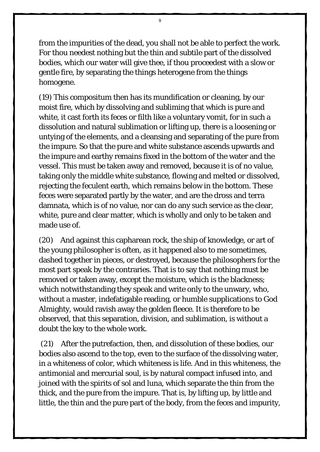from the impurities of the dead, you shall not be able to perfect the work. For thou needest nothing but the thin and subtile part of the dissolved bodies, which our water will give thee, if thou proceedest with a slow or gentle fire, by separating the things heterogene from the things homogene.

(19) This compositum then has its mundification or cleaning, by our moist fire, which by dissolving and subliming that which is pure and white, it cast forth its feces or filth like a voluntary vomit, for in such a dissolution and natural sublimation or lifting up, there is a loosening or untying of the elements, and a cleansing and separating of the pure from the impure. So that the pure and white substance ascends upwards and the impure and earthy remains fixed in the bottom of the water and the vessel. This must be taken away and removed, because it is of no value, taking only the middle white substance, flowing and melted or dissolved, rejecting the feculent earth, which remains below in the bottom. These feces were separated partly by the water, and are the dross and terra damnata, which is of no value, nor can do any such service as the clear, white, pure and clear matter, which is wholly and only to be taken and made use of.

(20) And against this capharean rock, the ship of knowledge, or art of the young philosopher is often, as it happened also to me sometimes, dashed together in pieces, or destroyed, because the philosophers for the most part speak by the contraries. That is to say that nothing must be removed or taken away, except the moisture, which is the blackness; which notwithstanding they speak and write only to the unwary, who, without a master, indefatigable reading, or humble supplications to God Almighty, would ravish away the golden fleece. It is therefore to be observed, that this separation, division, and sublimation, is without a doubt the key to the whole work.

(21) After the putrefaction, then, and dissolution of these bodies, our bodies also ascend to the top, even to the surface of the dissolving water, in a whiteness of color, which whiteness is life. And in this whiteness, the antimonial and mercurial soul, is by natural compact infused into, and joined with the spirits of sol and luna, which separate the thin from the thick, and the pure from the impure. That is, by lifting up, by little and little, the thin and the pure part of the body, from the feces and impurity,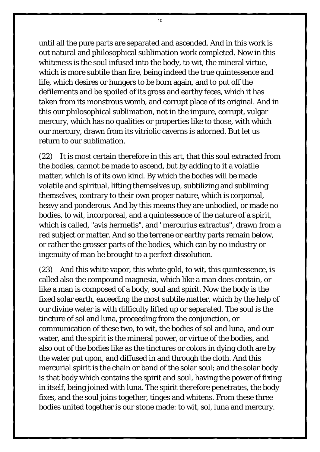until all the pure parts are separated and ascended. And in this work is out natural and philosophical sublimation work completed. Now in this whiteness is the soul infused into the body, to wit, the mineral virtue, which is more subtile than fire, being indeed the true quintessence and life, which desires or hungers to be born again, and to put off the defilements and be spoiled of its gross and earthy feces, which it has taken from its monstrous womb, and corrupt place of its original. And in this our philosophical sublimation, not in the impure, corrupt, vulgar mercury, which has no qualities or properties like to those, with which our mercury, drawn from its vitriolic caverns is adorned. But let us return to our sublimation.

(22) It is most certain therefore in this art, that this soul extracted from the bodies, cannot be made to ascend, but by adding to it a volatile matter, which is of its own kind. By which the bodies will be made volatile and spiritual, lifting themselves up, subtilizing and subliming themselves, contrary to their own proper nature, which is corporeal, heavy and ponderous. And by this means they are unbodied, or made no bodies, to wit, incorporeal, and a quintessence of the nature of a spirit, which is called, "avis hermetis", and "mercurius extractus", drawn from a red subject or matter. And so the terrene or earthy parts remain below, or rather the grosser parts of the bodies, which can by no industry or ingenuity of man be brought to a perfect dissolution.

(23) And this white vapor, this white gold, to wit, this quintessence, is called also the compound magnesia, which like a man does contain, or like a man is composed of a body, soul and spirit. Now the body is the fixed solar earth, exceeding the most subtile matter, which by the help of our divine water is with difficulty lifted up or separated. The soul is the tincture of sol and luna, proceeding from the conjunction, or communication of these two, to wit, the bodies of sol and luna, and our water, and the spirit is the mineral power, or virtue of the bodies, and also out of the bodies like as the tinctures or colors in dying cloth are by the water put upon, and diffused in and through the cloth. And this mercurial spirit is the chain or band of the solar soul; and the solar body is that body which contains the spirit and soul, having the power of fixing in itself, being joined with luna. The spirit therefore penetrates, the body fixes, and the soul joins together, tinges and whitens. From these three bodies united together is our stone made: to wit, sol, luna and mercury.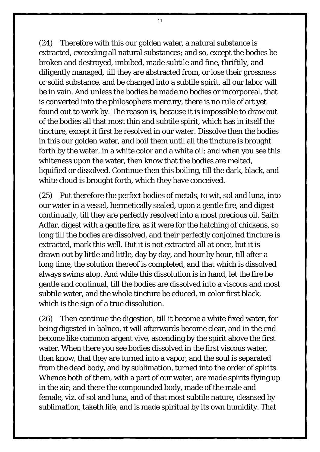(24) Therefore with this our golden water, a natural substance is extracted, exceeding all natural substances; and so, except the bodies be broken and destroyed, imbibed, made subtile and fine, thriftily, and diligently managed, till they are abstracted from, or lose their grossness or solid substance, and be changed into a subtile spirit, all our labor will be in vain. And unless the bodies be made no bodies or incorporeal, that is converted into the philosophers mercury, there is no rule of art yet found out to work by. The reason is, because it is impossible to draw out of the bodies all that most thin and subtile spirit, which has in itself the tincture, except it first be resolved in our water. Dissolve then the bodies in this our golden water, and boil them until all the tincture is brought forth by the water, in a white color and a white oil; and when you see this whiteness upon the water, then know that the bodies are melted, liquified or dissolved. Continue then this boiling, till the dark, black, and white cloud is brought forth, which they have conceived.

(25) Put therefore the perfect bodies of metals, to wit, sol and luna, into our water in a vessel, hermetically sealed, upon a gentle fire, and digest continually, till they are perfectly resolved into a most precious oil. Saith Adfar, digest with a gentle fire, as it were for the hatching of chickens, so long till the bodies are dissolved, and their perfectly conjoined tincture is extracted, mark this well. But it is not extracted all at once, but it is drawn out by little and little, day by day, and hour by hour, till after a long time, the solution thereof is completed, and that which is dissolved always swims atop. And while this dissolution is in hand, let the fire be gentle and continual, till the bodies are dissolved into a viscous and most subtile water, and the whole tincture be educed, in color first black, which is the sign of a true dissolution.

(26) Then continue the digestion, till it become a white fixed water, for being digested in balneo, it will afterwards become clear, and in the end become like common argent vive, ascending by the spirit above the first water. When there you see bodies dissolved in the first viscous water, then know, that they are turned into a vapor, and the soul is separated from the dead body, and by sublimation, turned into the order of spirits. Whence both of them, with a part of our water, are made spirits flying up in the air; and there the compounded body, made of the male and female, viz. of sol and luna, and of that most subtile nature, cleansed by sublimation, taketh life, and is made spiritual by its own humidity. That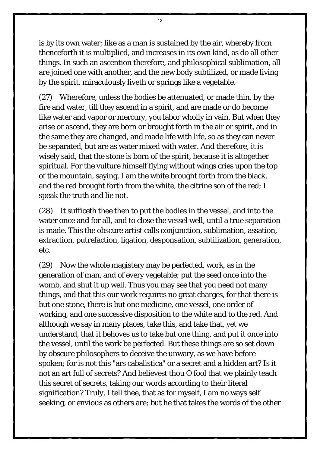is by its own water; like as a man is sustained by the air, whereby from thenceforth it is multiplied, and increases in its own kind, as do all other things. In such an ascention therefore, and philosophical sublimation, all are joined one with another, and the new body subtilized, or made living by the spirit, miraculously liveth or springs like a vegetable.

(27) Wherefore, unless the bodies be attenuated, or made thin, by the fire and water, till they ascend in a spirit, and are made or do become like water and vapor or mercury, you labor wholly in vain. But when they arise or ascend, they are born or brought forth in the air or spirit, and in the same they are changed, and made life with life, so as they can never be separated, but are as water mixed with water. And therefore, it is wisely said, that the stone is born of the spirit, because it is altogether spiritual. For the vulture himself flying without wings cries upon the top of the mountain, saying, I am the white brought forth from the black, and the red brought forth from the white, the citrine son of the red; I speak the truth and lie not.

(28) It sufficeth thee then to put the bodies in the vessel, and into the water once and for all, and to close the vessel well, until a true separation is made. This the obscure artist calls conjunction, sublimation, assation, extraction, putrefaction, ligation, desponsation, subtilization, generation, etc.

(29) Now the whole magistery may be perfected, work, as in the generation of man, and of every vegetable; put the seed once into the womb, and shut it up well. Thus you may see that you need not many things, and that this our work requires no great charges, for that there is but one stone, there is but one medicine, one vessel, one order of working, and one successive disposition to the white and to the red. And although we say in many places, take this, and take that, yet we understand, that it behoves us to take but one thing, and put it once into the vessel, until the work be perfected. But these things are so set down by obscure philosophers to deceive the unwary, as we have before spoken; for is not this "ars cabalistica" or a secret and a hidden art? Is it not an art full of secrets? And believest thou O fool that we plainly teach this secret of secrets, taking our words according to their literal signification? Truly, I tell thee, that as for myself, I am no ways self seeking, or envious as others are; but he that takes the words of the other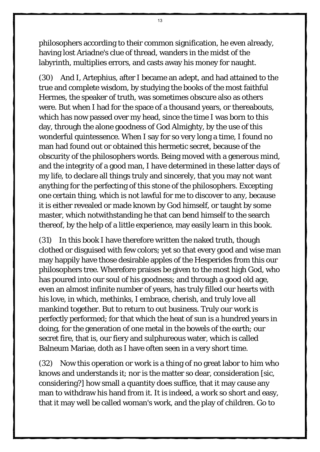philosophers according to their common signification, he even already, having lost Ariadne's clue of thread, wanders in the midst of the labyrinth, multiplies errors, and casts away his money for naught.

(30) And I, Artephius, after I became an adept, and had attained to the true and complete wisdom, by studying the books of the most faithful Hermes, the speaker of truth, was sometimes obscure also as others were. But when I had for the space of a thousand years, or thereabouts, which has now passed over my head, since the time I was born to this day, through the alone goodness of God Almighty, by the use of this wonderful quintessence. When I say for so very long a time, I found no man had found out or obtained this hermetic secret, because of the obscurity of the philosophers words. Being moved with a generous mind, and the integrity of a good man, I have determined in these latter days of my life, to declare all things truly and sincerely, that you may not want anything for the perfecting of this stone of the philosophers. Excepting one certain thing, which is not lawful for me to discover to any, because it is either revealed or made known by God himself, or taught by some master, which notwithstanding he that can bend himself to the search thereof, by the help of a little experience, may easily learn in this book.

(31) In this book I have therefore written the naked truth, though clothed or disguised with few colors; yet so that every good and wise man may happily have those desirable apples of the Hesperides from this our philosophers tree. Wherefore praises be given to the most high God, who has poured into our soul of his goodness; and through a good old age, even an almost infinite number of years, has truly filled our hearts with his love, in which, methinks, I embrace, cherish, and truly love all mankind together. But to return to out business. Truly our work is perfectly performed; for that which the heat of sun is a hundred years in doing, for the generation of one metal in the bowels of the earth; our secret fire, that is, our fiery and sulphureous water, which is called Balneum Mariae, doth as I have often seen in a very short time.

(32) Now this operation or work is a thing of no great labor to him who knows and understands it; nor is the matter so dear, consideration [sic, considering?] how small a quantity does suffice, that it may cause any man to withdraw his hand from it. It is indeed, a work so short and easy, that it may well be called woman's work, and the play of children. Go to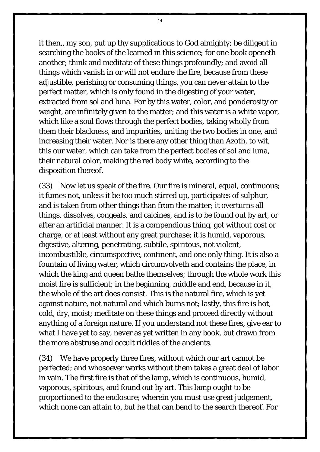it then,, my son, put up thy supplications to God almighty; be diligent in searching the books of the learned in this science; for one book openeth another; think and meditate of these things profoundly; and avoid all things which vanish in or will not endure the fire, because from these adjustible, perishing or consuming things, you can never attain to the perfect matter, which is only found in the digesting of your water, extracted from sol and luna. For by this water, color, and ponderosity or weight, are infinitely given to the matter; and this water is a white vapor, which like a soul flows through the perfect bodies, taking wholly from them their blackness, and impurities, uniting the two bodies in one, and increasing their water. Nor is there any other thing than Azoth, to wit, this our water, which can take from the perfect bodies of sol and luna, their natural color, making the red body white, according to the disposition thereof.

(33) Now let us speak of the fire. Our fire is mineral, equal, continuous; it fumes not, unless it be too much stirred up, participates of sulphur, and is taken from other things than from the matter; it overturns all things, dissolves, congeals, and calcines, and is to be found out by art, or after an artificial manner. It is a compendious thing, got without cost or charge, or at least without any great purchase; it is humid, vaporous, digestive, altering, penetrating, subtile, spiritous, not violent, incombustible, circumspective, continent, and one only thing. It is also a fountain of living water, which circumvolveth and contains the place, in which the king and queen bathe themselves; through the whole work this moist fire is sufficient; in the beginning, middle and end, because in it, the whole of the art does consist. This is the natural fire, which is yet against nature, not natural and which burns not; lastly, this fire is hot, cold, dry, moist; meditate on these things and proceed directly without anything of a foreign nature. If you understand not these fires, give ear to what I have yet to say, never as yet written in any book, but drawn from the more abstruse and occult riddles of the ancients.

(34) We have properly three fires, without which our art cannot be perfected; and whosoever works without them takes a great deal of labor in vain. The first fire is that of the lamp, which is continuous, humid, vaporous, spiritous, and found out by art. This lamp ought to be proportioned to the enclosure; wherein you must use great judgement, which none can attain to, but he that can bend to the search thereof. For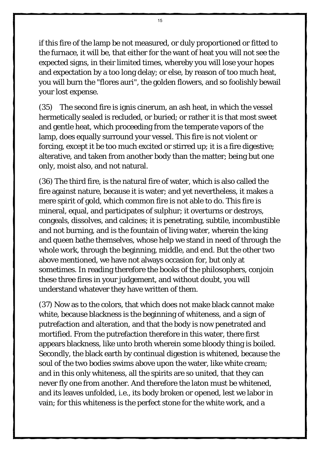if this fire of the lamp be not measured, or duly proportioned or fitted to the furnace, it will be, that either for the want of heat you will not see the expected signs, in their limited times, whereby you will lose your hopes and expectation by a too long delay; or else, by reason of too much heat, you will burn the "flores auri", the golden flowers, and so foolishly bewail your lost expense.

(35) The second fire is ignis cinerum, an ash heat, in which the vessel hermetically sealed is recluded, or buried; or rather it is that most sweet and gentle heat, which proceeding from the temperate vapors of the lamp, does equally surround your vessel. This fire is not violent or forcing, except it be too much excited or stirred up; it is a fire digestive; alterative, and taken from another body than the matter; being but one only, moist also, and not natural.

(36) The third fire, is the natural fire of water, which is also called the fire against nature, because it is water; and yet nevertheless, it makes a mere spirit of gold, which common fire is not able to do. This fire is mineral, equal, and participates of sulphur; it overturns or destroys, congeals, dissolves, and calcines; it is penetrating, subtile, incombustible and not burning, and is the fountain of living water, wherein the king and queen bathe themselves, whose help we stand in need of through the whole work, through the beginning, middle, and end. But the other two above mentioned, we have not always occasion for, but only at sometimes. In reading therefore the books of the philosophers, conjoin these three fires in your judgement, and without doubt, you will understand whatever they have written of them.

(37) Now as to the colors, that which does not make black cannot make white, because blackness is the beginning of whiteness, and a sign of putrefaction and alteration, and that the body is now penetrated and mortified. From the putrefaction therefore in this water, there first appears blackness, like unto broth wherein some bloody thing is boiled. Secondly, the black earth by continual digestion is whitened, because the soul of the two bodies swims above upon the water, like white cream; and in this only whiteness, all the spirits are so united, that they can never fly one from another. And therefore the laton must be whitened, and its leaves unfolded, i.e., its body broken or opened, lest we labor in vain; for this whiteness is the perfect stone for the white work, and a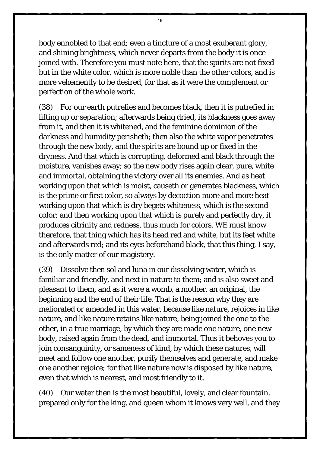body ennobled to that end; even a tincture of a most exuberant glory, and shining brightness, which never departs from the body it is once joined with. Therefore you must note here, that the spirits are not fixed but in the white color, which is more noble than the other colors, and is more vehemently to be desired, for that as it were the complement or perfection of the whole work.

(38) For our earth putrefies and becomes black, then it is putrefied in lifting up or separation; afterwards being dried, its blackness goes away from it, and then it is whitened, and the feminine dominion of the darkness and humidity perisheth; then also the white vapor penetrates through the new body, and the spirits are bound up or fixed in the dryness. And that which is corrupting, deformed and black through the moisture, vanishes away; so the new body rises again clear, pure, white and immortal, obtaining the victory over all its enemies. And as heat working upon that which is moist, causeth or generates blackness, which is the prime or first color, so always by decoction more and more heat working upon that which is dry begets whiteness, which is the second color; and then working upon that which is purely and perfectly dry, it produces citrinity and redness, thus much for colors. WE must know therefore, that thing which has its head red and white, but its feet white and afterwards red; and its eyes beforehand black, that this thing, I say, is the only matter of our magistery.

(39) Dissolve then sol and luna in our dissolving water, which is familiar and friendly, and next in nature to them; and is also sweet and pleasant to them, and as it were a womb, a mother, an original, the beginning and the end of their life. That is the reason why they are meliorated or amended in this water, because like nature, rejoices in like nature, and like nature retains like nature, being joined the one to the other, in a true marriage, by which they are made one nature, one new body, raised again from the dead, and immortal. Thus it behoves you to join consanguinity, or sameness of kind, by which these natures, will meet and follow one another, purify themselves and generate, and make one another rejoice; for that like nature now is disposed by like nature, even that which is nearest, and most friendly to it.

(40) Our water then is the most beautiful, lovely, and clear fountain, prepared only for the king, and queen whom it knows very well, and they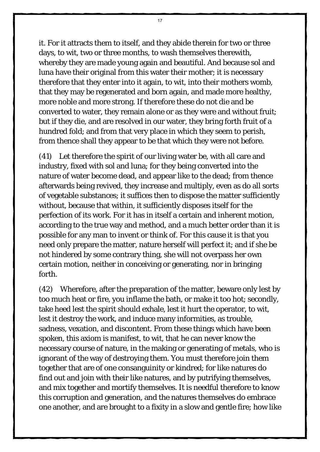it. For it attracts them to itself, and they abide therein for two or three days, to wit, two or three months, to wash themselves therewith, whereby they are made young again and beautiful. And because sol and luna have their original from this water their mother; it is necessary therefore that they enter into it again, to wit, into their mothers womb, that they may be regenerated and born again, and made more healthy, more noble and more strong. If therefore these do not die and be converted to water, they remain alone or as they were and without fruit; but if they die, and are resolved in our water, they bring forth fruit of a hundred fold; and from that very place in which they seem to perish, from thence shall they appear to be that which they were not before.

(41) Let therefore the spirit of our living water be, with all care and industry, fixed with sol and luna; for they being converted into the nature of water become dead, and appear like to the dead; from thence afterwards being revived, they increase and multiply, even as do all sorts of vegetable substances; it suffices then to dispose the matter sufficiently without, because that within, it sufficiently disposes itself for the perfection of its work. For it has in itself a certain and inherent motion, according to the true way and method, and a much better order than it is possible for any man to invent or think of. For this cause it is that you need only prepare the matter, nature herself will perfect it; and if she be not hindered by some contrary thing, she will not overpass her own certain motion, neither in conceiving or generating, nor in bringing forth.

(42) Wherefore, after the preparation of the matter, beware only lest by too much heat or fire, you inflame the bath, or make it too hot; secondly, take heed lest the spirit should exhale, lest it hurt the operator, to wit, lest it destroy the work, and induce many informities, as trouble, sadness, vexation, and discontent. From these things which have been spoken, this axiom is manifest, to wit, that he can never know the necessary course of nature, in the making or generating of metals, who is ignorant of the way of destroying them. You must therefore join them together that are of one consanguinity or kindred; for like natures do find out and join with their like natures, and by putrifying themselves, and mix together and mortify themselves. It is needful therefore to know this corruption and generation, and the natures themselves do embrace one another, and are brought to a fixity in a slow and gentle fire; how like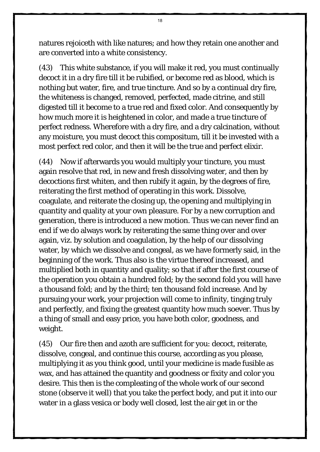natures rejoiceth with like natures; and how they retain one another and are converted into a white consistency.

(43) This white substance, if you will make it red, you must continually decoct it in a dry fire till it be rubified, or become red as blood, which is nothing but water, fire, and true tincture. And so by a continual dry fire, the whiteness is changed, removed, perfected, made citrine, and still digested till it become to a true red and fixed color. And consequently by how much more it is heightened in color, and made a true tincture of perfect redness. Wherefore with a dry fire, and a dry calcination, without any moisture, you must decoct this compositum, till it be invested with a most perfect red color, and then it will be the true and perfect elixir.

(44) Now if afterwards you would multiply your tincture, you must again resolve that red, in new and fresh dissolving water, and then by decoctions first whiten, and then rubify it again, by the degrees of fire, reiterating the first method of operating in this work. Dissolve, coagulate, and reiterate the closing up, the opening and multiplying in quantity and quality at your own pleasure. For by a new corruption and generation, there is introduced a new motion. Thus we can never find an end if we do always work by reiterating the same thing over and over again, viz. by solution and coagulation, by the help of our dissolving water, by which we dissolve and congeal, as we have formerly said, in the beginning of the work. Thus also is the virtue thereof increased, and multiplied both in quantity and quality; so that if after the first course of the operation you obtain a hundred fold; by the second fold you will have a thousand fold; and by the third; ten thousand fold increase. And by pursuing your work, your projection will come to infinity, tinging truly and perfectly, and fixing the greatest quantity how much soever. Thus by a thing of small and easy price, you have both color, goodness, and weight.

(45) Our fire then and azoth are sufficient for you: decoct, reiterate, dissolve, congeal, and continue this course, according as you please, multiplying it as you think good, until your medicine is made fusible as wax, and has attained the quantity and goodness or fixity and color you desire. This then is the compleating of the whole work of our second stone (observe it well) that you take the perfect body, and put it into our water in a glass vesica or body well closed, lest the air get in or the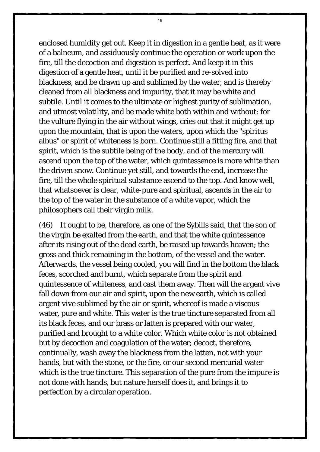enclosed humidity get out. Keep it in digestion in a gentle heat, as it were of a balneum, and assiduously continue the operation or work upon the fire, till the decoction and digestion is perfect. And keep it in this digestion of a gentle heat, until it be purified and re-solved into blackness, and be drawn up and sublimed by the water, and is thereby cleaned from all blackness and impurity, that it may be white and subtile. Until it comes to the ultimate or highest purity of sublimation, and utmost volatility, and be made white both within and without: for the vulture flying in the air without wings, cries out that it might get up upon the mountain, that is upon the waters, upon which the "spiritus albus" or spirit of whiteness is born. Continue still a fitting fire, and that spirit, which is the subtile being of the body, and of the mercury will ascend upon the top of the water, which quintessence is more white than the driven snow. Continue yet still, and towards the end, increase the fire, till the whole spiritual substance ascend to the top. And know well, that whatsoever is clear, white-pure and spiritual, ascends in the air to the top of the water in the substance of a white vapor, which the philosophers call their virgin milk.

(46) It ought to be, therefore, as one of the Sybills said, that the son of the virgin be exalted from the earth, and that the white quintessence after its rising out of the dead earth, be raised up towards heaven; the gross and thick remaining in the bottom, of the vessel and the water. Afterwards, the vessel being cooled, you will find in the bottom the black feces, scorched and burnt, which separate from the spirit and quintessence of whiteness, and cast them away. Then will the argent vive fall down from our air and spirit, upon the new earth, which is called argent vive sublimed by the air or spirit, whereof is made a viscous water, pure and white. This water is the true tincture separated from all its black feces, and our brass or latten is prepared with our water, purified and brought to a white color. Which white color is not obtained but by decoction and coagulation of the water; decoct, therefore, continually, wash away the blackness from the latten, not with your hands, but with the stone, or the fire, or our second mercurial water which is the true tincture. This separation of the pure from the impure is not done with hands, but nature herself does it, and brings it to perfection by a circular operation.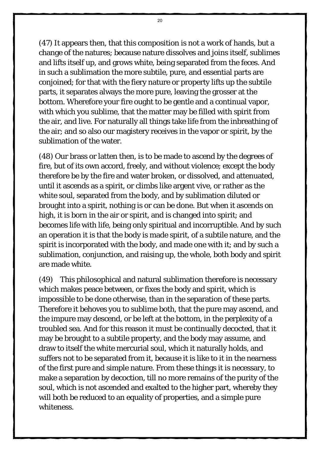(47) It appears then, that this composition is not a work of hands, but a change of the natures; because nature dissolves and joins itself, sublimes and lifts itself up, and grows white, being separated from the feces. And in such a sublimation the more subtile, pure, and essential parts are conjoined; for that with the fiery nature or property lifts up the subtile parts, it separates always the more pure, leaving the grosser at the bottom. Wherefore your fire ought to be gentle and a continual vapor, with which you sublime, that the matter may be filled with spirit from the air, and live. For naturally all things take life from the inbreathing of the air; and so also our magistery receives in the vapor or spirit, by the sublimation of the water.

(48) Our brass or latten then, is to be made to ascend by the degrees of fire, but of its own accord, freely, and without violence; except the body therefore be by the fire and water broken, or dissolved, and attenuated, until it ascends as a spirit, or climbs like argent vive, or rather as the white soul, separated from the body, and by sublimation diluted or brought into a spirit, nothing is or can be done. But when it ascends on high, it is born in the air or spirit, and is changed into spirit; and becomes life with life, being only spiritual and incorruptible. And by such an operation it is that the body is made spirit, of a subtile nature, and the spirit is incorporated with the body, and made one with it; and by such a sublimation, conjunction, and raising up, the whole, both body and spirit are made white.

(49) This philosophical and natural sublimation therefore is necessary which makes peace between, or fixes the body and spirit, which is impossible to be done otherwise, than in the separation of these parts. Therefore it behoves you to sublime both, that the pure may ascend, and the impure may descend, or be left at the bottom, in the perplexity of a troubled sea. And for this reason it must be continually decocted, that it may be brought to a subtile property, and the body may assume, and draw to itself the white mercurial soul, which it naturally holds, and suffers not to be separated from it, because it is like to it in the nearness of the first pure and simple nature. From these things it is necessary, to make a separation by decoction, till no more remains of the purity of the soul, which is not ascended and exalted to the higher part, whereby they will both be reduced to an equality of properties, and a simple pure whiteness.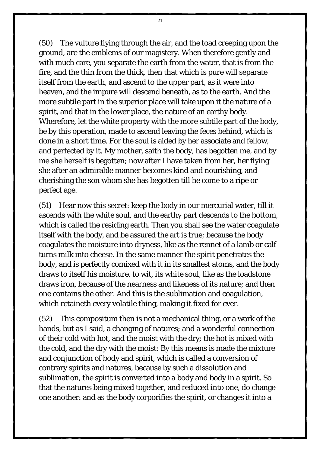(50) The vulture flying through the air, and the toad creeping upon the ground, are the emblems of our magistery. When therefore gently and with much care, you separate the earth from the water, that is from the fire, and the thin from the thick, then that which is pure will separate itself from the earth, and ascend to the upper part, as it were into heaven, and the impure will descend beneath, as to the earth. And the more subtile part in the superior place will take upon it the nature of a spirit, and that in the lower place, the nature of an earthy body. Wherefore, let the white property with the more subtile part of the body, be by this operation, made to ascend leaving the feces behind, which is done in a short time. For the soul is aided by her associate and fellow, and perfected by it. My mother, saith the body, has begotten me, and by me she herself is begotten; now after I have taken from her, her flying she after an admirable manner becomes kind and nourishing, and cherishing the son whom she has begotten till he come to a ripe or perfect age.

(51) Hear now this secret: keep the body in our mercurial water, till it ascends with the white soul, and the earthy part descends to the bottom, which is called the residing earth. Then you shall see the water coagulate itself with the body, and be assured the art is true; because the body coagulates the moisture into dryness, like as the rennet of a lamb or calf turns milk into cheese. In the same manner the spirit penetrates the body, and is perfectly comixed with it in its smallest atoms, and the body draws to itself his moisture, to wit, its white soul, like as the loadstone draws iron, because of the nearness and likeness of its nature; and then one contains the other. And this is the sublimation and coagulation, which retaineth every volatile thing, making it fixed for ever.

(52) This compositum then is not a mechanical thing, or a work of the hands, but as I said, a changing of natures; and a wonderful connection of their cold with hot, and the moist with the dry; the hot is mixed with the cold, and the dry with the moist: By this means is made the mixture and conjunction of body and spirit, which is called a conversion of contrary spirits and natures, because by such a dissolution and sublimation, the spirit is converted into a body and body in a spirit. So that the natures being mixed together, and reduced into one, do change one another: and as the body corporifies the spirit, or changes it into a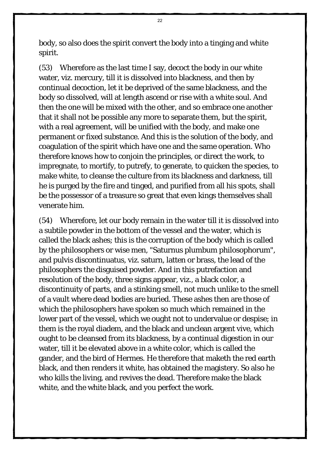body, so also does the spirit convert the body into a tinging and white spirit.

(53) Wherefore as the last time I say, decoct the body in our white water, viz. mercury, till it is dissolved into blackness, and then by continual decoction, let it be deprived of the same blackness, and the body so dissolved, will at length ascend or rise with a white soul. And then the one will be mixed with the other, and so embrace one another that it shall not be possible any more to separate them, but the spirit, with a real agreement, will be unified with the body, and make one permanent or fixed substance. And this is the solution of the body, and coagulation of the spirit which have one and the same operation. Who therefore knows how to conjoin the principles, or direct the work, to impregnate, to mortify, to putrefy, to generate, to quicken the species, to make white, to cleanse the culture from its blackness and darkness, till he is purged by the fire and tinged, and purified from all his spots, shall be the possessor of a treasure so great that even kings themselves shall venerate him.

(54) Wherefore, let our body remain in the water till it is dissolved into a subtile powder in the bottom of the vessel and the water, which is called the black ashes; this is the corruption of the body which is called by the philosophers or wise men, "Saturnus plumbum philosophorum", and pulvis discontinuatus, viz. saturn, latten or brass, the lead of the philosophers the disguised powder. And in this putrefaction and resolution of the body, three signs appear, viz., a black color, a discontinuity of parts, and a stinking smell, not much unlike to the smell of a vault where dead bodies are buried. These ashes then are those of which the philosophers have spoken so much which remained in the lower part of the vessel, which we ought not to undervalue or despise; in them is the royal diadem, and the black and unclean argent vive, which ought to be cleansed from its blackness, by a continual digestion in our water, till it be elevated above in a white color, which is called the gander, and the bird of Hermes. He therefore that maketh the red earth black, and then renders it white, has obtained the magistery. So also he who kills the living, and revives the dead. Therefore make the black white, and the white black, and you perfect the work.